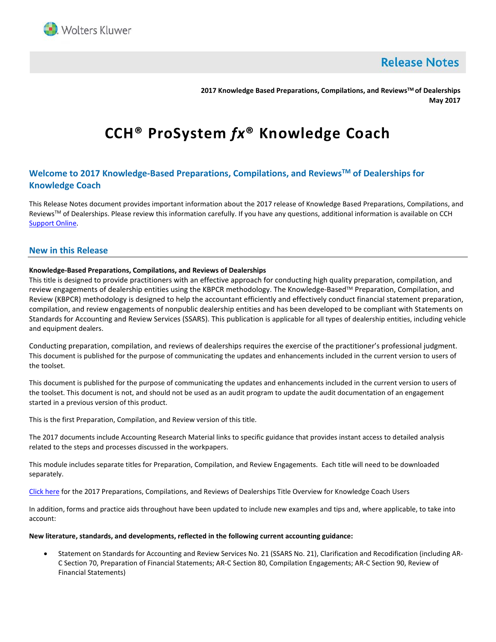

**Release Notes** 

**2017 Knowledge Based Preparations, Compilations, and ReviewsTM of Dealerships May 2017**

# **CCH® ProSystem** *fx***® Knowledge Coach**

# **Welcome to 2017 Knowledge-Based Preparations, Compilations, and ReviewsTM of Dealerships for Knowledge Coach**

This Release Notes document provides important information about the 2017 release of Knowledge Based Preparations, Compilations, and Reviews™ of Dealerships. Please review this information carefully. If you have any questions, additional information is available on CCH [Support Online.](http://support.cch.com/productsupport/)

## **New in this Release**

## **Knowledge-Based Preparations, Compilations, and Reviews of Dealerships**

This title is designed to provide practitioners with an effective approach for conducting high quality preparation, compilation, and review engagements of dealership entities using the KBPCR methodology. The Knowledge-Based™ Preparation, Compilation, and Review (KBPCR) methodology is designed to help the accountant efficiently and effectively conduct financial statement preparation, compilation, and review engagements of nonpublic dealership entities and has been developed to be compliant with Statements on Standards for Accounting and Review Services (SSARS). This publication is applicable for all types of dealership entities, including vehicle and equipment dealers.

Conducting preparation, compilation, and reviews of dealerships requires the exercise of the practitioner's professional judgment. This document is published for the purpose of communicating the updates and enhancements included in the current version to users of the toolset.

This document is published for the purpose of communicating the updates and enhancements included in the current version to users of the toolset. This document is not, and should not be used as an audit program to update the audit documentation of an engagement started in a previous version of this product.

This is the first Preparation, Compilation, and Review version of this title.

The 2017 documents include Accounting Research Material links to specific guidance that provides instant access to detailed analysis related to the steps and processes discussed in the workpapers.

This module includes separate titles for Preparation, Compilation, and Review Engagements. Each title will need to be downloaded separately.

[Click here](http://support.cch.com/updates/KnowledgeCoach/pdf/guides_tab/2017%20DLR%20PCR%20Title%20Overview%20for%20Knowledge%20Coach%20Users.pdf) for the 2017 Preparations, Compilations, and Reviews of Dealerships Title Overview for Knowledge Coach Users

In addition, forms and practice aids throughout have been updated to include new examples and tips and, where applicable, to take into account:

#### **New literature, standards, and developments, reflected in the following current accounting guidance:**

• Statement on Standards for Accounting and Review Services No. 21 (SSARS No. 21), Clarification and Recodification (including AR-C Section 70, Preparation of Financial Statements; AR-C Section 80, Compilation Engagements; AR-C Section 90, Review of Financial Statements)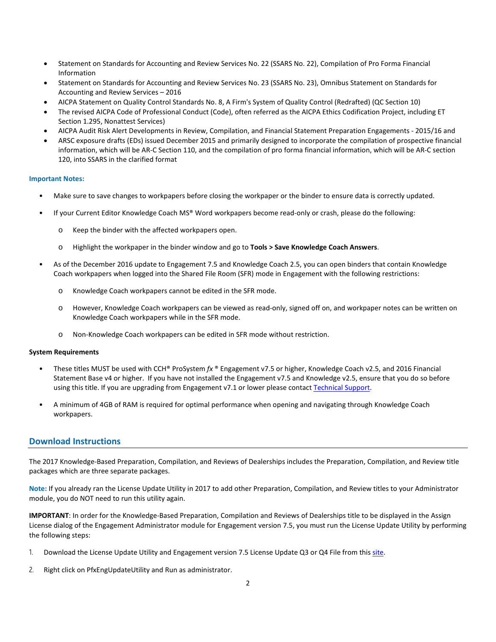- Statement on Standards for Accounting and Review Services No. 22 (SSARS No. 22), Compilation of Pro Forma Financial Information
- Statement on Standards for Accounting and Review Services No. 23 (SSARS No. 23), Omnibus Statement on Standards for Accounting and Review Services – 2016
- AICPA Statement on Quality Control Standards No. 8, A Firm's System of Quality Control (Redrafted) (QC Section 10)
- The revised AICPA Code of Professional Conduct (Code), often referred as the AICPA Ethics Codification Project, including ET Section 1.295, Nonattest Services)
- AICPA Audit Risk Alert Developments in Review, Compilation, and Financial Statement Preparation Engagements 2015/16 and
- ARSC exposure drafts (EDs) issued December 2015 and primarily designed to incorporate the compilation of prospective financial information, which will be AR-C Section 110, and the compilation of pro forma financial information, which will be AR-C section 120, into SSARS in the clarified format

#### **Important Notes:**

- Make sure to save changes to workpapers before closing the workpaper or the binder to ensure data is correctly updated.
- If your Current Editor Knowledge Coach MS® Word workpapers become read-only or crash, please do the following:
	- o Keep the binder with the affected workpapers open.
	- o Highlight the workpaper in the binder window and go to **Tools > Save Knowledge Coach Answers**.
- As of the December 2016 update to Engagement 7.5 and Knowledge Coach 2.5, you can open binders that contain Knowledge Coach workpapers when logged into the Shared File Room (SFR) mode in Engagement with the following restrictions:
	- o Knowledge Coach workpapers cannot be edited in the SFR mode.
	- o However, Knowledge Coach workpapers can be viewed as read-only, signed off on, and workpaper notes can be written on Knowledge Coach workpapers while in the SFR mode.
	- o Non-Knowledge Coach workpapers can be edited in SFR mode without restriction.

#### **System Requirements**

- These titles MUST be used with CCH® ProSystem *fx* ® Engagement v7.5 or higher, Knowledge Coach v2.5, and 2016 Financial Statement Base v4 or higher. If you have not installed the Engagement v7.5 and Knowledge v2.5, ensure that you do so before using this title. If you are upgrading from Engagement v7.1 or lower please contac[t Technical Support.](https://support.cch.com/contact)
- A minimum of 4GB of RAM is required for optimal performance when opening and navigating through Knowledge Coach workpapers.

## **Download Instructions**

The 2017 Knowledge-Based Preparation, Compilation, and Reviews of Dealerships includes the Preparation, Compilation, and Review title packages which are three separate packages.

**Note:** If you already ran the License Update Utility in 2017 to add other Preparation, Compilation, and Review titles to your Administrator module, you do NOT need to run this utility again.

**IMPORTANT**: In order for the Knowledge-Based Preparation, Compilation and Reviews of Dealerships title to be displayed in the Assign License dialog of the Engagement Administrator module for Engagement version 7.5, you must run the License Update Utility by performing the following steps:

- 1. Download the License Update Utility and Engagement version 7.5 License Update Q3 or Q4 File from this [site.](https://support.cch.com/updates/Engagement/#engagementLicenseFiles)
- 2. Right click on PfxEngUpdateUtility and Run as administrator.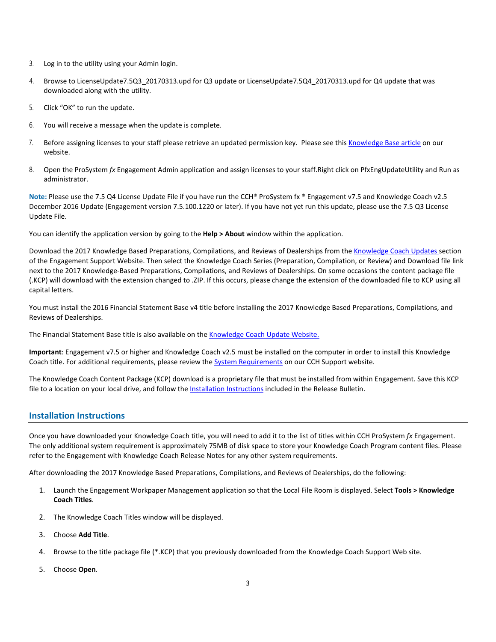- 3. Log in to the utility using your Admin login.
- 4. Browse to LicenseUpdate7.5Q3\_20170313.upd for Q3 update or LicenseUpdate7.5Q4\_20170313.upd for Q4 update that was downloaded along with the utility.
- 5. Click "OK" to run the update.
- 6. You will receive a message when the update is complete.
- 7. Before assigning licenses to your staff please retrieve an updated permission key. Please see thi[s Knowledge Base article](https://support.cch.com/kb/solution.aspx/sw3937) on our website.
- 8. Open the ProSystem *fx* Engagement Admin application and assign licenses to your staff.Right click on PfxEngUpdateUtility and Run as administrator.

**Note:** Please use the 7.5 Q4 License Update File if you have run the CCH® ProSystem fx ® Engagement v7.5 and Knowledge Coach v2.5 December 2016 Update (Engagement version 7.5.100.1220 or later). If you have not yet run this update, please use the 7.5 Q3 License Update File.

You can identify the application version by going to the **Help > About** window within the application.

Download the 2017 Knowledge Based Preparations, Compilations, and Reviews of Dealerships from the [Knowledge Coach Updates](http://support.cch.com/updates/KnowledgeCoach) section of the Engagement Support Website. Then select the Knowledge Coach Series (Preparation, Compilation, or Review) and Download file link next to the 2017 Knowledge-Based Preparations, Compilations, and Reviews of Dealerships. On some occasions the content package file (.KCP) will download with the extension changed to .ZIP. If this occurs, please change the extension of the downloaded file to KCP using all capital letters.

You must install the 2016 Financial Statement Base v4 title before installing the 2017 Knowledge Based Preparations, Compilations, and Reviews of Dealerships.

The Financial Statement Base title is also available on th[e Knowledge Coach Update Website.](http://support.cch.com/updates/KnowledgeCoach)

**Important**: Engagement v7.5 or higher and Knowledge Coach v2.5 must be installed on the computer in order to install this Knowledge Coach title. For additional requirements, please review the **System Requirements on our CCH Support website**.

The Knowledge Coach Content Package (KCP) download is a proprietary file that must be installed from within Engagement. Save this KCP file to a location on your local drive, and follow the Installation Instructions included in the Release Bulletin.

## **Installation Instructions**

Once you have downloaded your Knowledge Coach title, you will need to add it to the list of titles within CCH ProSystem *fx* Engagement. The only additional system requirement is approximately 75MB of disk space to store your Knowledge Coach Program content files. Please refer to the Engagement with Knowledge Coach Release Notes for any other system requirements.

After downloading the 2017 Knowledge Based Preparations, Compilations, and Reviews of Dealerships, do the following:

- 1. Launch the Engagement Workpaper Management application so that the Local File Room is displayed. Select **Tools > Knowledge Coach Titles**.
- 2. The Knowledge Coach Titles window will be displayed.
- 3. Choose **Add Title**.
- 4. Browse to the title package file (\*.KCP) that you previously downloaded from the Knowledge Coach Support Web site.
- 5. Choose **Open**.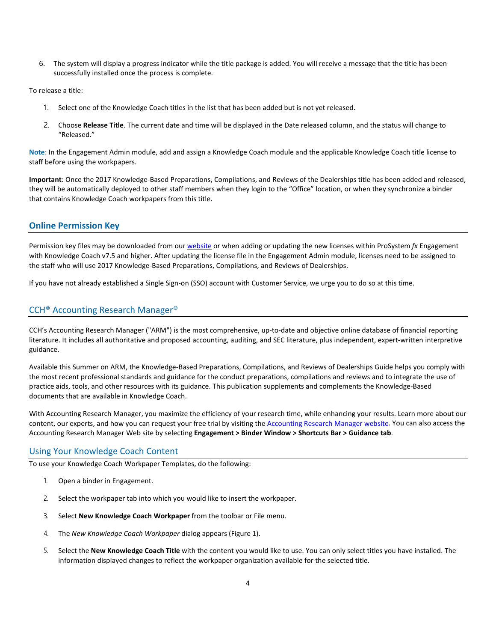6. The system will display a progress indicator while the title package is added. You will receive a message that the title has been successfully installed once the process is complete.

To release a title:

- 1. Select one of the Knowledge Coach titles in the list that has been added but is not yet released.
- 2. Choose **Release Title**. The current date and time will be displayed in the Date released column, and the status will change to "Released."

**Note**: In the Engagement Admin module, add and assign a Knowledge Coach module and the applicable Knowledge Coach title license to staff before using the workpapers.

**Important**: Once the 2017 Knowledge-Based Preparations, Compilations, and Reviews of the Dealerships title has been added and released, they will be automatically deployed to other staff members when they login to the "Office" location, or when they synchronize a binder that contains Knowledge Coach workpapers from this title.

# **Online Permission Key**

Permission key files may be downloaded from ou[r website](https://prosystemfxsupport.tax.cchgroup.com/permkey/download.aspx) or when adding or updating the new licenses within ProSystem *fx* Engagement with Knowledge Coach v7.5 and higher. After updating the license file in the Engagement Admin module, licenses need to be assigned to the staff who will use 2017 Knowledge-Based Preparations, Compilations, and Reviews of Dealerships.

If you have not already established a Single Sign-on (SSO) account with Customer Service, we urge you to do so at this time.

# CCH® Accounting Research Manager®

CCH's Accounting Research Manager ("ARM") is the most comprehensive, up-to-date and objective online database of financial reporting literature. It includes all authoritative and proposed accounting, auditing, and SEC literature, plus independent, expert-written interpretive guidance.

Available this Summer on ARM, the Knowledge-Based Preparations, Compilations, and Reviews of Dealerships Guide helps you comply with the most recent professional standards and guidance for the conduct preparations, compilations and reviews and to integrate the use of practice aids, tools, and other resources with its guidance. This publication supplements and complements the Knowledge-Based documents that are available in Knowledge Coach.

With Accounting Research Manager, you maximize the efficiency of your research time, while enhancing your results. Learn more about our content, our experts, and how you can request your free trial by visiting the [Accounting Research Manager website.](http://www.accountingresearchmanager.com/) You can also access the Accounting Research Manager Web site by selecting **Engagement > Binder Window > Shortcuts Bar > Guidance tab**.

## Using Your Knowledge Coach Content

To use your Knowledge Coach Workpaper Templates, do the following:

- 1. Open a binder in Engagement.
- 2. Select the workpaper tab into which you would like to insert the workpaper.
- 3. Select **New Knowledge Coach Workpaper** from the toolbar or File menu.
- 4. The *New Knowledge Coach Workpaper* dialog appears (Figure 1).
- 5. Select the **New Knowledge Coach Title** with the content you would like to use. You can only select titles you have installed. The information displayed changes to reflect the workpaper organization available for the selected title.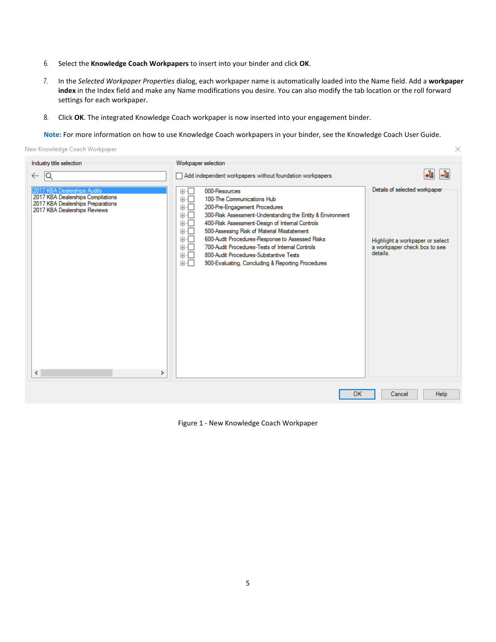- 6. Select the **Knowledge Coach Workpapers** to insert into your binder and click **OK**.
- 7. In the *Selected Workpaper Properties* dialog, each workpaper name is automatically loaded into the Name field. Add a **workpaper index** in the Index field and make any Name modifications you desire. You can also modify the tab location or the roll forward settings for each workpaper.

 $\times$ 

8. Click **OK**. The integrated Knowledge Coach workpaper is now inserted into your engagement binder.

**Note:** For more information on how to use Knowledge Coach workpapers in your binder, see the Knowledge Coach User Guide.

New Knowledge Coach Workpaper

| Industry title selection                                                                                                                                                           | Workpaper selection                                                                                                                                                                                                                                                                                                                                                                                                                                                                                            |                                                                                                              |
|------------------------------------------------------------------------------------------------------------------------------------------------------------------------------------|----------------------------------------------------------------------------------------------------------------------------------------------------------------------------------------------------------------------------------------------------------------------------------------------------------------------------------------------------------------------------------------------------------------------------------------------------------------------------------------------------------------|--------------------------------------------------------------------------------------------------------------|
| lQ<br>$\leftarrow$                                                                                                                                                                 | Add independent workpapers without foundation workpapers                                                                                                                                                                                                                                                                                                                                                                                                                                                       | -립<br>∙∛                                                                                                     |
| 2017 KBA Dealerships Audits<br>2017 KBA Dealerships Compilations<br>2017 KBA Dealerships Preparations<br>2017 KBA Dealerships Reviews<br>$\overline{\phantom{a}}$<br>$\rightarrow$ | ⊕∙⊡<br>000-Resources<br>ė⊡<br>100-The Communications Hub<br>面一<br>200-Pre-Engagement Procedures<br>面一<br>300-Risk Assessment-Understanding the Entity & Environment<br>Ė⊡<br>400-Risk Assessment-Design of Internal Controls<br>面石<br>500-Assessing Risk of Material Misstatement<br>画一<br>600-Audit Procedures-Response to Assessed Risks<br>Ė⊡<br>700-Audit Procedures-Tests of Internal Controls<br>面目<br>800-Audit Procedures-Substantive Tests<br>面目<br>900-Evaluating, Concluding & Reporting Procedures | Details of selected workpaper<br>Highlight a workpaper or select<br>a workpaper check box to see<br>details. |
|                                                                                                                                                                                    |                                                                                                                                                                                                                                                                                                                                                                                                                                                                                                                |                                                                                                              |
|                                                                                                                                                                                    | <b>OK</b>                                                                                                                                                                                                                                                                                                                                                                                                                                                                                                      | Help<br>Cancel                                                                                               |

Figure 1 - New Knowledge Coach Workpaper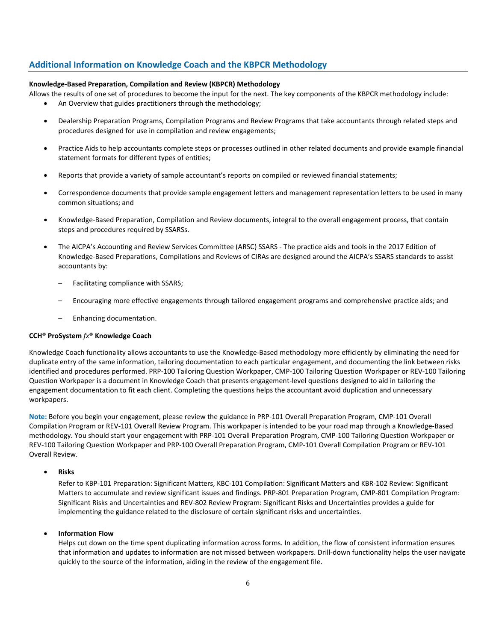# **Additional Information on Knowledge Coach and the KBPCR Methodology**

### **Knowledge-Based Preparation, Compilation and Review (KBPCR) Methodology**

Allows the results of one set of procedures to become the input for the next. The key components of the KBPCR methodology include:

- An Overview that guides practitioners through the methodology;
- Dealership Preparation Programs, Compilation Programs and Review Programs that take accountants through related steps and procedures designed for use in compilation and review engagements;
- Practice Aids to help accountants complete steps or processes outlined in other related documents and provide example financial statement formats for different types of entities;
- Reports that provide a variety of sample accountant's reports on compiled or reviewed financial statements;
- Correspondence documents that provide sample engagement letters and management representation letters to be used in many common situations; and
- Knowledge-Based Preparation, Compilation and Review documents, integral to the overall engagement process, that contain steps and procedures required by SSARSs.
- The AICPA's Accounting and Review Services Committee (ARSC) SSARS The practice aids and tools in the 2017 Edition of Knowledge-Based Preparations, Compilations and Reviews of CIRAs are designed around the AICPA's SSARS standards to assist accountants by:
	- Facilitating compliance with SSARS;
	- Encouraging more effective engagements through tailored engagement programs and comprehensive practice aids; and
	- Enhancing documentation.

## **CCH® ProSystem** *fx***® Knowledge Coach**

Knowledge Coach functionality allows accountants to use the Knowledge-Based methodology more efficiently by eliminating the need for duplicate entry of the same information, tailoring documentation to each particular engagement, and documenting the link between risks identified and procedures performed. PRP-100 Tailoring Question Workpaper, CMP-100 Tailoring Question Workpaper or REV-100 Tailoring Question Workpaper is a document in Knowledge Coach that presents engagement-level questions designed to aid in tailoring the engagement documentation to fit each client. Completing the questions helps the accountant avoid duplication and unnecessary workpapers.

**Note:** Before you begin your engagement, please review the guidance in PRP-101 Overall Preparation Program, CMP-101 Overall Compilation Program or REV-101 Overall Review Program. This workpaper is intended to be your road map through a Knowledge-Based methodology. You should start your engagement with PRP-101 Overall Preparation Program, CMP-100 Tailoring Question Workpaper or REV-100 Tailoring Question Workpaper and PRP-100 Overall Preparation Program, CMP-101 Overall Compilation Program or REV-101 Overall Review.

#### • **Risks**

Refer to KBP-101 Preparation: Significant Matters, KBC-101 Compilation: Significant Matters and KBR-102 Review: Significant Matters to accumulate and review significant issues and findings. PRP-801 Preparation Program, CMP-801 Compilation Program: Significant Risks and Uncertainties and REV-802 Review Program: Significant Risks and Uncertainties provides a guide for implementing the guidance related to the disclosure of certain significant risks and uncertainties.

## • **Information Flow**

Helps cut down on the time spent duplicating information across forms. In addition, the flow of consistent information ensures that information and updates to information are not missed between workpapers. Drill-down functionality helps the user navigate quickly to the source of the information, aiding in the review of the engagement file.